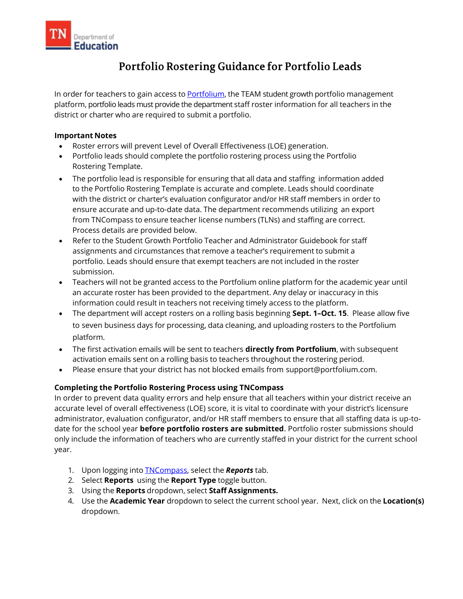

## Portfolio Rostering Guidance for Portfolio Leads

In order for teachers to gain access to [Portfolium,](https://edu.portfolium.com/growth/) the TEAM student growth portfolio management platform, portfolio leads must provide the department staff roster information for all teachers in the district or charter who are required to submit a portfolio.

## **Important Notes**

- Roster errors will prevent Level of Overall Effectiveness (LOE) generation.
- Portfolio leads should complete the portfolio rostering process using the Portfolio Rostering Template.
- The portfolio lead is responsible for ensuring that all data and staffing information added to the Portfolio Rostering Template is accurate and complete. Leads should coordinate with the district or charter's evaluation configurator and/or HR staff members in order to ensure accurate and up-to-date data. The department recommends utilizing an export from TNCompass to ensure teacher license numbers (TLNs) and staffing are correct. Process details are provided below.
- Refer to the Student Growth Portfolio Teacher and Administrator Guidebook for staff assignments and circumstances that remove a teacher's requirement to submit a portfolio. Leads should ensure that exempt teachers are not included in the roster submission.
- Teachers will not be granted access to the Portfolium online platform for the academic year until an accurate roster has been provided to the department. Any delay or inaccuracy in this information could result in teachers not receiving timely access to the platform.
- The department will accept rosters on a rolling basis beginning **Sept. 1–Oct. 15**. Please allow five to seven business days for processing, data cleaning, and uploading rosters to the Portfolium platform.
- The first activation emails will be sent to teachers **directly from Portfolium**, with subsequent activation emails sent on a rolling basis to teachers throughout the rostering period.
- Please ensure that your district has not blocked emails from support@portfolium.com.

## **Completing the Portfolio Rostering Process using TNCompass**

In order to prevent data quality errors and help ensure that all teachers within your district receive an accurate level of overall effectiveness (LOE) score, it is vital to coordinate with your district's licensure administrator, evaluation configurator, and/or HR staff members to ensure that all staffing data is up-todate for the school year **before portfolio rosters are submitted**. Portfolio roster submissions should only include the information of teachers who are currently staffed in your district for the current school year.

- 1. Upon logging into [TNCompass,](https://tncompass.org/) select the *Reports* tab.
- 2. Select **Reports** using the **Report Type** toggle button.
- 3. Using the **Reports** dropdown, select **Staff Assignments.**
- 4. Use the **Academic Year** dropdown to select the current school year. Next, click on the **Location(s)** dropdown.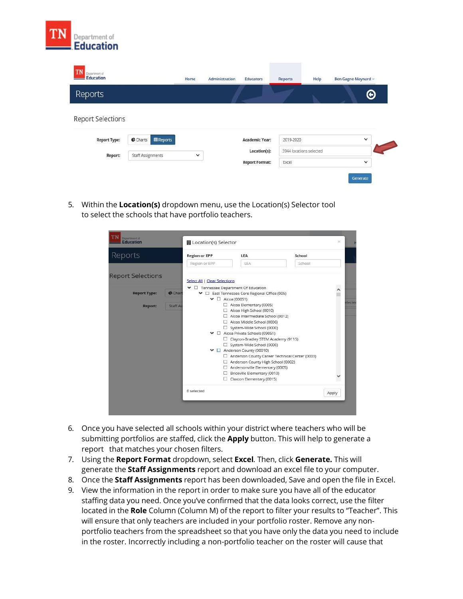

| <b>TN</b><br>Department of |                                     | Home        | Administration | Educators      | Reports                 | Help | Ben Gagne-Maynard v |
|----------------------------|-------------------------------------|-------------|----------------|----------------|-------------------------|------|---------------------|
| Reports                    |                                     |             |                |                |                         |      | Θ                   |
| <b>Report Selections</b>   |                                     |             |                |                |                         |      |                     |
|                            |                                     |             |                |                |                         |      |                     |
| <b>Report Type:</b>        | <b>E Reports</b><br><b>C</b> Charts |             |                | Academic Year: | 2019-2020               |      | $\checkmark$        |
| Report:                    | <b>Staff Assignments</b>            | $\check{~}$ |                | Location(s):   | 3944 locations selected |      |                     |

5. Within the **Location(s)** dropdown menu, use the Location(s) Selector tool to select the schools that have portfolio teachers.

| Reports                             | <b>Region or EPP</b>                                           | <b>LEA</b>                                                 | School |       |
|-------------------------------------|----------------------------------------------------------------|------------------------------------------------------------|--------|-------|
|                                     | Region or EPP                                                  | <b>LEA</b>                                                 | School |       |
| <b>Report Selections</b>            | Select All   Clear Selections                                  |                                                            |        |       |
|                                     | $\blacktriangleright$ $\Box$ Tennessee Department Of Education |                                                            |        |       |
| <b>Report Type:</b><br><b>Chart</b> |                                                                | ← □ East Tennessee Core Regional Office (005)              |        |       |
|                                     |                                                                | $\blacktriangleright$ $\Box$ Alcoa (00051)                 |        |       |
| Report:<br>Staff As                 |                                                                | Alcoa Elementary (0005)                                    |        |       |
|                                     |                                                                | Alcoa High School (0010)                                   |        |       |
|                                     |                                                                | Alcoa Intermediate School (0012)                           |        |       |
|                                     |                                                                | Alcoa Middle School (0006)                                 |        |       |
|                                     |                                                                | System-Wide School (0000)                                  |        |       |
|                                     |                                                                | $\blacktriangleright$ $\Box$ Alcoa Private Schools (09051) |        |       |
|                                     |                                                                | □ Clayton-Bradley STEM Academy (9115)                      |        |       |
|                                     |                                                                | System-Wide School (0000)                                  |        |       |
|                                     |                                                                | ← □ Anderson County (00010)                                |        |       |
|                                     |                                                                | Anderson County Career Technical Center (0003)             |        |       |
|                                     |                                                                | Anderson County High School (0002)                         |        |       |
|                                     |                                                                | Andersonville Elementary (0005)                            |        |       |
|                                     | ш                                                              | Briceville Elementary (0010)                               |        |       |
|                                     |                                                                | Claxton Elementary (0015)                                  |        |       |
|                                     | 0 selected                                                     |                                                            |        | Apply |

- 6. Once you have selected all schools within your district where teachers who will be submitting portfolios are staffed, click the **Apply** button. This will help to generate a report that matches your chosen filters.
- 7. Using the **Report Format** dropdown, select **Excel***.* Then, click **Generate.** This will generate the **Staff Assignments** report and download an excel file to your computer.
- 8. Once the **Staff Assignments** report has been downloaded, Save and open the file in Excel.
- 9. View the information in the report in order to make sure you have all of the educator staffing data you need. Once you've confirmed that the data looks correct, use the filter located in the **Role** Column (Column M) of the report to filter your results to "Teacher". This will ensure that only teachers are included in your portfolio roster. Remove any nonportfolio teachers from the spreadsheet so that you have only the data you need to include in the roster. Incorrectly including a non-portfolio teacher on the roster will cause that